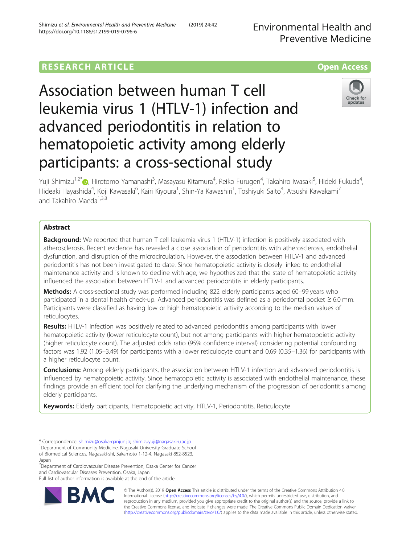# **RESEARCH ARTICLE Example 2018 12:30 THE Open Access**

Association between human T cell leukemia virus 1 (HTLV-1) infection and advanced periodontitis in relation to hematopoietic activity among elderly participants: a cross-sectional study



Yuji Shimizu<sup>1,2[\\*](http://orcid.org/0000-0002-3381-9288)</sup>@, Hirotomo Yamanashi<sup>3</sup>, Masayasu Kitamura<sup>4</sup>, Reiko Furugen<sup>4</sup>, Takahiro Iwasaki<sup>5</sup>, Hideki Fukuda<sup>4</sup> , Hideaki Hayashida<sup>4</sup>, Koji Kawasaki<sup>6</sup>, Kairi Kiyoura<sup>1</sup>, Shin-Ya Kawashiri<sup>1</sup>, Toshiyuki Saito<sup>4</sup>, Atsushi Kawakami<sup>7</sup> and Takahiro Maeda $1,3,8$ 

# Abstract

Background: We reported that human T cell leukemia virus 1 (HTLV-1) infection is positively associated with atherosclerosis. Recent evidence has revealed a close association of periodontitis with atherosclerosis, endothelial dysfunction, and disruption of the microcirculation. However, the association between HTLV-1 and advanced periodontitis has not been investigated to date. Since hematopoietic activity is closely linked to endothelial maintenance activity and is known to decline with age, we hypothesized that the state of hematopoietic activity influenced the association between HTLV-1 and advanced periodontitis in elderly participants.

Methods: A cross-sectional study was performed including 822 elderly participants aged 60–99 years who participated in a dental health check-up. Advanced periodontitis was defined as a periodontal pocket ≥ 6.0 mm. Participants were classified as having low or high hematopoietic activity according to the median values of reticulocytes.

Results: HTLV-1 infection was positively related to advanced periodontitis among participants with lower hematopoietic activity (lower reticulocyte count), but not among participants with higher hematopoietic activity (higher reticulocyte count). The adjusted odds ratio (95% confidence interval) considering potential confounding factors was 1.92 (1.05–3.49) for participants with a lower reticulocyte count and 0.69 (0.35–1.36) for participants with a higher reticulocyte count.

**Conclusions:** Among elderly participants, the association between HTLV-1 infection and advanced periodontitis is influenced by hematopoietic activity. Since hematopoietic activity is associated with endothelial maintenance, these findings provide an efficient tool for clarifying the underlying mechanism of the progression of periodontitis among elderly participants.

Keywords: Elderly participants, Hematopoietic activity, HTLV-1, Periodontitis, Reticulocyte

<sup>2</sup> Department of Cardiovascular Disease Prevention, Osaka Center for Cancer and Cardiovascular Diseases Prevention, Osaka, Japan

Full list of author information is available at the end of the article



© The Author(s). 2019 **Open Access** This article is distributed under the terms of the Creative Commons Attribution 4.0 International License [\(http://creativecommons.org/licenses/by/4.0/](http://creativecommons.org/licenses/by/4.0/)), which permits unrestricted use, distribution, and reproduction in any medium, provided you give appropriate credit to the original author(s) and the source, provide a link to the Creative Commons license, and indicate if changes were made. The Creative Commons Public Domain Dedication waiver [\(http://creativecommons.org/publicdomain/zero/1.0/](http://creativecommons.org/publicdomain/zero/1.0/)) applies to the data made available in this article, unless otherwise stated.

<sup>\*</sup> Correspondence: [shimizu@osaka-ganjun.jp](mailto:shimizu@osaka-ganjun.jp); [shimizuyuji@nagasaki-u.ac.jp](mailto:shimizuyuji@nagasaki-u.ac.jp) <sup>1</sup> <sup>1</sup>Department of Community Medicine, Nagasaki University Graduate School of Biomedical Sciences, Nagasaki-shi, Sakamoto 1-12-4, Nagasaki 852-8523, Japan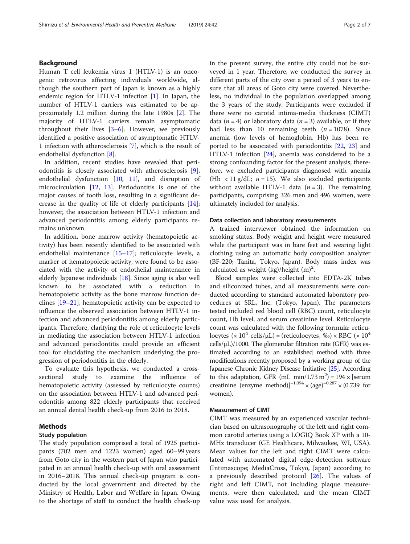# Background

Human T cell leukemia virus 1 (HTLV-1) is an oncogenic retrovirus affecting individuals worldwide, although the southern part of Japan is known as a highly endemic region for HTLV-1 infection [\[1\]](#page-5-0). In Japan, the number of HTLV-1 carriers was estimated to be approximately 1.2 million during the late 1980s [\[2](#page-5-0)]. The majority of HTLV-1 carriers remain asymptomatic throughout their lives  $[3-6]$  $[3-6]$  $[3-6]$  $[3-6]$ . However, we previously identified a positive association of asymptomatic HTLV-1 infection with atherosclerosis [[7\]](#page-5-0), which is the result of endothelial dysfunction [[8](#page-5-0)].

In addition, recent studies have revealed that periodontitis is closely associated with atherosclerosis [\[9](#page-5-0)], endothelial dysfunction  $[10, 11]$  $[10, 11]$  $[10, 11]$  $[10, 11]$  $[10, 11]$ , and disruption of microcirculation [\[12](#page-5-0), [13](#page-5-0)]. Periodontitis is one of the major causes of tooth loss, resulting in a significant decrease in the quality of life of elderly participants [\[14](#page-5-0)]; however, the association between HTLV-1 infection and advanced periodontitis among elderly participants remains unknown.

In addition, bone marrow activity (hematopoietic activity) has been recently identified to be associated with endothelial maintenance [\[15](#page-5-0)–[17](#page-5-0)]; reticulocyte levels, a marker of hematopoietic activity, were found to be associated with the activity of endothelial maintenance in elderly Japanese individuals [\[18](#page-5-0)]. Since aging is also well known to be associated with a reduction in hematopoietic activity as the bone marrow function declines [\[19](#page-5-0)–[21\]](#page-5-0), hematopoietic activity can be expected to influence the observed association between HTLV-1 infection and advanced periodontitis among elderly participants. Therefore, clarifying the role of reticulocyte levels in mediating the association between HTLV-1 infection and advanced periodontitis could provide an efficient tool for elucidating the mechanism underlying the progression of periodontitis in the elderly.

To evaluate this hypothesis, we conducted a crosssectional study to examine the influence of hematopoietic activity (assessed by reticulocyte counts) on the association between HTLV-1 and advanced periodontitis among 822 elderly participants that received an annual dental health check-up from 2016 to 2018.

# Methods

# Study population

The study population comprised a total of 1925 participants (702 men and 1223 women) aged 60–99 years from Goto city in the western part of Japan who participated in an annual health check-up with oral assessment in 2016–2018. This annual check-up program is conducted by the local government and directed by the Ministry of Health, Labor and Welfare in Japan. Owing to the shortage of staff to conduct the health check-up in the present survey, the entire city could not be surveyed in 1 year. Therefore, we conducted the survey in different parts of the city over a period of 3 years to ensure that all areas of Goto city were covered. Nevertheless, no individual in the population overlapped among the 3 years of the study. Participants were excluded if there were no carotid intima-media thickness (CIMT) data ( $n = 4$ ) or laboratory data ( $n = 3$ ) available, or if they had less than 10 remaining teeth  $(n = 1078)$ . Since anemia (low levels of hemoglobin, Hb) has been reported to be associated with periodontitis [[22,](#page-5-0) [23](#page-5-0)] and HTLV-1 infection [\[24](#page-5-0)], anemia was considered to be a strong confounding factor for the present analysis; therefore, we excluded participants diagnosed with anemia (Hb < 11 g/dL;  $n = 15$ ). We also excluded participants without available HTLV-1 data  $(n = 3)$ . The remaining participants, comprising 326 men and 496 women, were ultimately included for analysis.

### Data collection and laboratory measurements

A trained interviewer obtained the information on smoking status. Body weight and height were measured while the participant was in bare feet and wearing light clothing using an automatic body composition analyzer (BF-220; Tanita, Tokyo, Japan). Body mass index was calculated as weight  $(kg)/height$  (m)<sup>2</sup>.

Blood samples were collected into EDTA-2K tubes and siliconized tubes, and all measurements were conducted according to standard automated laboratory procedures at SRL, Inc. (Tokyo, Japan). The parameters tested included red blood cell (RBC) count, reticulocyte count, Hb level, and serum creatinine level. Reticulocyte count was calculated with the following formula: reticulocytes ( $\times$  10<sup>4</sup> cells/ $\mu$ L) = (reticulocytes, ‰)  $\times$  RBC ( $\times$  10<sup>4</sup>  $cells/µL)/1000$ . The glomerular filtration rate (GFR) was estimated according to an established method with three modifications recently proposed by a working group of the Japanese Chronic Kidney Disease Initiative [\[25\]](#page-5-0). According to this adaptation, GFR (mL min/1.73 m<sup>2</sup>) =  $194 \times$  [serum creatinine (enzyme method)]<sup>-1.094</sup> × (age)<sup>-0.287</sup> × (0.739 for women).

# Measurement of CIMT

CIMT was measured by an experienced vascular technician based on ultrasonography of the left and right common carotid arteries using a LOGIQ Book XP with a 10- MHz transducer (GE Healthcare, Milwaukee, WI, USA). Mean values for the left and right CIMT were calculated with automated digital edge-detection software (Intimascope; MediaCross, Tokyo, Japan) according to a previously described protocol [\[26](#page-5-0)]. The values of right and left CIMT, not including plaque measurements, were then calculated, and the mean CIMT value was used for analysis.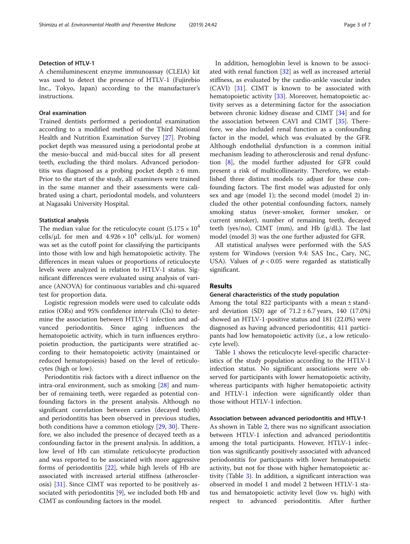# Detection of HTLV-1

A chemiluminescent enzyme immunoassay (CLEIA) kit was used to detect the presence of HTLV-1 (Fujirebio Inc., Tokyo, Japan) according to the manufacturer's instructions.

# Oral examination

Trained dentists performed a periodontal examination according to a modified method of the Third National Health and Nutrition Examination Survey [\[27](#page-5-0)]. Probing pocket depth was measured using a periodontal probe at the mesio-buccal and mid-buccal sites for all present teeth, excluding the third molars. Advanced periodontitis was diagnosed as a probing pocket depth  $\geq 6$  mm. Prior to the start of the study, all examiners were trained in the same manner and their assessments were calibrated using a chart, periodontal models, and volunteers at Nagasaki University Hospital.

## Statistical analysis

The median value for the reticulocyte count  $(5.175 \times 10^4$ cells/μL for men and  $4.926 \times 10^4$  cells/μL for women) was set as the cutoff point for classifying the participants into those with low and high hematopoietic activity. The differences in mean values or proportions of reticulocyte levels were analyzed in relation to HTLV-1 status. Significant differences were evaluated using analysis of variance (ANOVA) for continuous variables and chi-squared test for proportion data.

Logistic regression models were used to calculate odds ratios (ORs) and 95% confidence intervals (CIs) to determine the association between HTLV-1 infection and advanced periodontitis. Since aging influences the hematopoietic activity, which in turn influences erythropoietin production, the participants were stratified according to their hematopoietic activity (maintained or reduced hematopoiesis) based on the level of reticulocytes (high or low).

Periodontitis risk factors with a direct influence on the intra-oral environment, such as smoking [[28\]](#page-6-0) and number of remaining teeth, were regarded as potential confounding factors in the present analysis. Although no significant correlation between caries (decayed teeth) and periodontitis has been observed in previous studies, both conditions have a common etiology [[29,](#page-6-0) [30\]](#page-6-0). Therefore, we also included the presence of decayed teeth as a confounding factor in the present analysis. In addition, a low level of Hb can stimulate reticulocyte production and was reported to be associated with more aggressive forms of periodontitis [[22\]](#page-5-0), while high levels of Hb are associated with increased arterial stiffness (atherosclerosis) [[31\]](#page-6-0). Since CIMT was reported to be positively associated with periodontitis [\[9\]](#page-5-0), we included both Hb and CIMT as confounding factors in the model.

In addition, hemoglobin level is known to be associated with renal function [\[32\]](#page-6-0) as well as increased arterial stiffness, as evaluated by the cardio-ankle vascular index (CAVI) [[31](#page-6-0)]. CIMT is known to be associated with hematopoietic activity [[33\]](#page-6-0). Moreover, hematopoietic activity serves as a determining factor for the association between chronic kidney disease and CIMT [\[34](#page-6-0)] and for the association between CAVI and CIMT [[35\]](#page-6-0). Therefore, we also included renal function as a confounding factor in the model, which was evaluated by the GFR. Although endothelial dysfunction is a common initial mechanism leading to atherosclerosis and renal dysfunction [[8](#page-5-0)], the model further adjusted for GFR could present a risk of multicollinearity. Therefore, we established three distinct models to adjust for these confounding factors. The first model was adjusted for only sex and age (model 1); the second model (model 2) included the other potential confounding factors, namely smoking status (never-smoker, former smoker, or current smoker), number of remaining teeth, decayed teeth (yes/no), CIMT (mm), and Hb (g/dL). The last model (model 3) was the one further adjusted for GFR.

All statistical analyses were performed with the SAS system for Windows (version 9.4: SAS Inc., Cary, NC, USA). Values of  $p < 0.05$  were regarded as statistically significant.

# Results

#### General characteristics of the study population

Among the total 822 participants with a mean ± standard deviation (SD) age of  $71.2 \pm 6.7$  years, 140 (17.0%) showed an HTLV-1-positive status and 181 (22.0%) were diagnosed as having advanced periodontitis; 411 participants had low hematopoietic activity (i.e., a low reticulocyte level).

Table [1](#page-3-0) shows the reticulocyte level-specific characteristics of the study population according to the HTLV-1 infection status. No significant associations were observed for participants with lower hematopoietic activity, whereas participants with higher hematopoietic activity and HTLV-1 infection were significantly older than those without HTLV-1 infection.

# Association between advanced periodontitis and HTLV-1

As shown in Table [2,](#page-3-0) there was no significant association between HTLV-1 infection and advanced periodontitis among the total participants. However, HTLV-1 infection was significantly positively associated with advanced periodontitis for participants with lower hematopoietic activity, but not for those with higher hematopoietic activity (Table [3](#page-4-0)). In addition, a significant interaction was observed in model 1 and model 2 between HTLV-1 status and hematopoietic activity level (low vs. high) with respect to advanced periodontitis. After further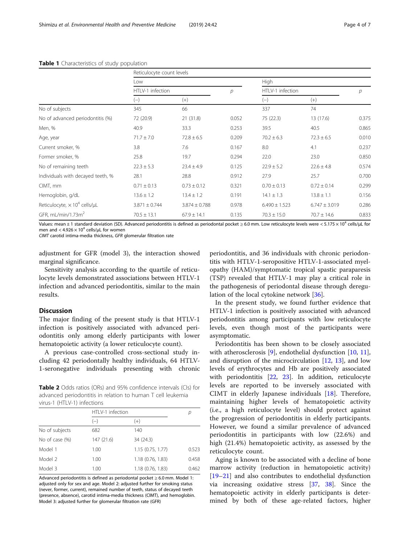# <span id="page-3-0"></span>Table 1 Characteristics of study population

|                                                       | Reticulocyte count levels |                   |               |                   |                   |       |  |  |
|-------------------------------------------------------|---------------------------|-------------------|---------------|-------------------|-------------------|-------|--|--|
|                                                       | Low                       |                   |               | High              |                   |       |  |  |
|                                                       | HTLV-1 infection          |                   | $\mathcal{P}$ | HTLV-1 infection  |                   | р     |  |  |
|                                                       | $(-)$                     | $(+)$             |               | $(-)$             | $(+)$             |       |  |  |
| No of subjects                                        | 345                       | 66                |               | 337               | 74                |       |  |  |
| No of advanced periodontitis (%)                      | 72 (20.9)                 | 21(31.8)          | 0.052         | 75 (22.3)         | 13 (17.6)         | 0.375 |  |  |
| Men, %                                                | 40.9                      | 33.3              | 0.253         | 39.5              | 40.5              | 0.865 |  |  |
| Age, year                                             | $71.7 \pm 7.0$            | $72.8 \pm 6.5$    | 0.209         | $70.2 \pm 6.3$    | $72.3 \pm 6.5$    | 0.010 |  |  |
| Current smoker, %                                     | 3.8                       | 7.6               | 0.167         | 8.0               | 4.1               | 0.237 |  |  |
| Former smoker, %                                      | 25.8                      | 19.7              | 0.294         | 22.0              | 23.0              | 0.850 |  |  |
| No of remaining teeth                                 | $22.3 \pm 5.3$            | $23.4 \pm 4.9$    | 0.125         | $22.9 \pm 5.2$    | $22.6 \pm 4.8$    | 0.574 |  |  |
| Individuals with decayed teeth, %                     | 28.1                      | 28.8              | 0.912         | 27.9              | 25.7              | 0.700 |  |  |
| CIMT, mm                                              | $0.71 \pm 0.13$           | $0.73 \pm 0.12$   | 0.321         | $0.70 \pm 0.13$   | $0.72 \pm 0.14$   | 0.299 |  |  |
| Hemoglobin, g/dL                                      | $13.6 \pm 1.2$            | $13.4 \pm 1.2$    | 0.191         | $14.1 \pm 1.3$    | $13.8 \pm 1.1$    | 0.156 |  |  |
| Reticulocyte, $\times$ 10 <sup>4</sup> cells/ $\mu$ L | $3.871 \pm 0.744$         | $3.874 \pm 0.788$ | 0.978         | $6.490 \pm 1.523$ | $6.747 \pm 3.019$ | 0.286 |  |  |
| GFR, $mL/min/1.73m2$                                  | $70.5 \pm 13.1$           | $67.9 \pm 14.1$   | 0.135         | $70.3 \pm 15.0$   | $70.7 \pm 14.6$   | 0.833 |  |  |

Values: mean ± 1 standard deviation (SD). Advanced periodontitis is defined as periodontal pocket ≥ 6.0 mm. Low reticulocyte levels were < 5.175 × 10<sup>4</sup> cells/µL for men and  $<$  4.926  $\times$  10<sup>4</sup> cells/µL for women

CIMT carotid intima-media thickness, GFR glomerular filtration rate

adjustment for GFR (model 3), the interaction showed marginal significance.

Sensitivity analysis according to the quartile of reticulocyte levels demonstrated associations between HTLV-1 infection and advanced periodontitis, similar to the main results.

# Discussion

The major finding of the present study is that HTLV-1 infection is positively associated with advanced periodontitis only among elderly participants with lower hematopoietic activity (a lower reticulocyte count).

A previous case-controlled cross-sectional study including 42 periodontally healthy individuals, 64 HTLV-1-seronegative individuals presenting with chronic

Table 2 Odds ratios (ORs) and 95% confidence intervals (CIs) for advanced periodontitis in relation to human T cell leukemia virus-1 (HTLV-1) infections

|                | HTLV-1 infection |                   | р     |
|----------------|------------------|-------------------|-------|
|                | $(-)$            | $^{(+)}$          |       |
| No of subjects | 682              | 140               |       |
| No of case (%) | 147 (21.6)       | 34 (24.3)         |       |
| Model 1        | 1.00             | 1.15(0.75, 1.77)  | 0.523 |
| Model 2        | 1.00             | 1.18 (0.76, 1.83) | 0.458 |
| Model 3        | 1.00             | 1.18 (0.76, 1.83) | 0.462 |

Advanced periodontitis is defined as periodontal pocket ≥ 6.0 mm. Model 1: adjusted only for sex and age. Model 2: adjusted further for smoking status (never, former, current), remained number of teeth, status of decayed teeth (presence, absence), carotid intima-media thickness (CIMT), and hemoglobin. Model 3: adjusted further for glomerular filtration rate (GFR)

periodontitis, and 36 individuals with chronic periodontitis with HTLV-1-seropositive HTLV-1-associated myelopathy (HAM)/symptomatic tropical spastic paraparesis (TSP) revealed that HTLV-1 may play a critical role in the pathogenesis of periodontal disease through deregulation of the local cytokine network [[36](#page-6-0)].

In the present study, we found further evidence that HTLV-1 infection is positively associated with advanced periodontitis among participants with low reticulocyte levels, even though most of the participants were asymptomatic.

Periodontitis has been shown to be closely associated with atherosclerosis [\[9](#page-5-0)], endothelial dysfunction [\[10](#page-5-0), [11](#page-5-0)], and disruption of the microcirculation [\[12,](#page-5-0) [13\]](#page-5-0), and low levels of erythrocytes and Hb are positively associated with periodontitis [[22](#page-5-0), [23](#page-5-0)]. In addition, reticulocyte levels are reported to be inversely associated with CIMT in elderly Japanese individuals [[18\]](#page-5-0). Therefore, maintaining higher levels of hematopoietic activity (i.e., a high reticulocyte level) should protect against the progression of periodontitis in elderly participants. However, we found a similar prevalence of advanced periodontitis in participants with low (22.6%) and high (21.4%) hematopoietic activity, as assessed by the reticulocyte count.

Aging is known to be associated with a decline of bone marrow activity (reduction in hematopoietic activity) [[19](#page-5-0)–[21](#page-5-0)] and also contributes to endothelial dysfunction via increasing oxidative stress [\[37](#page-6-0), [38](#page-6-0)]. Since the hematopoietic activity in elderly participants is determined by both of these age-related factors, higher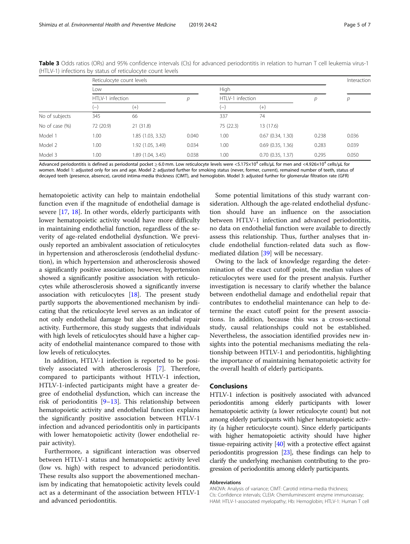|                | Reticulocyte count levels |                   |       |                  |                       |       | Interaction |
|----------------|---------------------------|-------------------|-------|------------------|-----------------------|-------|-------------|
|                | Low                       |                   |       | High             |                       |       |             |
|                | HTLV-1 infection          |                   | D     | HTLV-1 infection |                       | р     | р           |
|                | $\overline{\phantom{a}}$  | $^{(+)}$          |       | $(-)$            | $^{(+)}$              |       |             |
| No of subjects | 345                       | 66                |       | 337              | 74                    |       |             |
| No of case (%) | 72 (20.9)                 | 21(31.8)          |       | 75 (22.3)        | 13 (17.6)             |       |             |
| Model 1        | 1.00                      | 1.85 (1.03, 3.32) | 0.040 | 1.00             | 0.67(0.34, 1.30)      | 0.238 | 0.036       |
| Model 2        | 1.00                      | 1.92 (1.05, 3.49) | 0.034 | 1.00             | $0.69$ $(0.35, 1.36)$ | 0.283 | 0.039       |
| Model 3        | 1.00                      | 1.89 (1.04, 3.45) | 0.038 | 1.00             | $0.70$ $(0.35, 1.37)$ | 0.295 | 0.050       |

<span id="page-4-0"></span>Table 3 Odds ratios (ORs) and 95% confidence intervals (CIs) for advanced periodontitis in relation to human T cell leukemia virus-1 (HTLV-1) infections by status of reticulocyte count levels

Advanced periodontitis is defined as periodontal pocket  $\geq 6.0$  mm. Low reticulocyte levels were <5.175×10<sup>4</sup> cells/µL for men and <4.926×10<sup>4</sup> cells/µL for women. Model 1: adjusted only for sex and age. Model 2: adjusted further for smoking status (never, former, current), remained number of teeth, status of decayed teeth (presence, absence), carotid intima-media thickness (CIMT), and hemoglobin. Model 3: adjusted further for glomerular filtration rate (GFR)

hematopoietic activity can help to maintain endothelial function even if the magnitude of endothelial damage is severe [[17](#page-5-0), [18\]](#page-5-0). In other words, elderly participants with lower hematopoietic activity would have more difficulty in maintaining endothelial function, regardless of the severity of age-related endothelial dysfunction. We previously reported an ambivalent association of reticulocytes in hypertension and atherosclerosis (endothelial dysfunction), in which hypertension and atherosclerosis showed a significantly positive association; however, hypertension showed a significantly positive association with reticulocytes while atherosclerosis showed a significantly inverse association with reticulocytes [\[18\]](#page-5-0). The present study partly supports the abovementioned mechanism by indicating that the reticulocyte level serves as an indicator of not only endothelial damage but also endothelial repair activity. Furthermore, this study suggests that individuals with high levels of reticulocytes should have a higher capacity of endothelial maintenance compared to those with low levels of reticulocytes.

In addition, HTLV-1 infection is reported to be positively associated with atherosclerosis [\[7](#page-5-0)]. Therefore, compared to participants without HTLV-1 infection, HTLV-1-infected participants might have a greater degree of endothelial dysfunction, which can increase the risk of periodontitis [[9](#page-5-0)–[13](#page-5-0)]. This relationship between hematopoietic activity and endothelial function explains the significantly positive association between HTLV-1 infection and advanced periodontitis only in participants with lower hematopoietic activity (lower endothelial repair activity).

Furthermore, a significant interaction was observed between HTLV-1 status and hematopoietic activity level (low vs. high) with respect to advanced periodontitis. These results also support the abovementioned mechanism by indicating that hematopoietic activity levels could act as a determinant of the association between HTLV-1 and advanced periodontitis.

Some potential limitations of this study warrant consideration. Although the age-related endothelial dysfunction should have an influence on the association between HTLV-1 infection and advanced periodontitis, no data on endothelial function were available to directly assess this relationship. Thus, further analyses that include endothelial function-related data such as flowmediated dilation [\[39](#page-6-0)] will be necessary.

Owing to the lack of knowledge regarding the determination of the exact cutoff point, the median values of reticulocytes were used for the present analysis. Further investigation is necessary to clarify whether the balance between endothelial damage and endothelial repair that contributes to endothelial maintenance can help to determine the exact cutoff point for the present associations. In addition, because this was a cross-sectional study, causal relationships could not be established. Nevertheless, the association identified provides new insights into the potential mechanisms mediating the relationship between HTLV-1 and periodontitis, highlighting the importance of maintaining hematopoietic activity for the overall health of elderly participants.

# Conclusions

HTLV-1 infection is positively associated with advanced periodontitis among elderly participants with lower hematopoietic activity (a lower reticulocyte count) but not among elderly participants with higher hematopoietic activity (a higher reticulocyte count). Since elderly participants with higher hematopoietic activity should have higher tissue-repairing activity [[40](#page-6-0)] with a protective effect against periodontitis progression [[23](#page-5-0)], these findings can help to clarify the underlying mechanism contributing to the progression of periodontitis among elderly participants.

#### Abbreviations

ANOVA: Analysis of variance; CIMT: Carotid intima-media thickness; CIs: Confidence intervals; CLEIA: Chemiluminescent enzyme immunoassay; HAM: HTLV-1-associated myelopathy; Hb: Hemoglobin; HTLV-1: Human T cell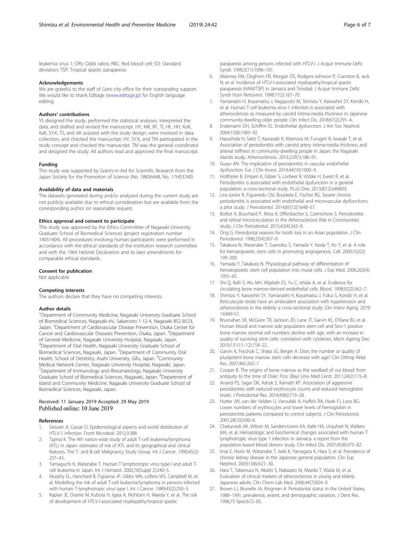<span id="page-5-0"></span>leukemia virus 1; ORs: Odds ratios; RBC: Red blood cell; SD: Standard deviation; TSP: Tropical spastic paraparesis

#### Acknowledgements

We are grateful to the staff of Goto city office for their outstanding support. We would like to thank Editage ([www.editage.jp\)](http://www.editage.jp) for English language editing.

#### Authors' contributions

YS designed the study, performed the statistical analyses, interpreted the data, and drafted and revised the manuscript. HY, MK, RF, TI, HF, HH, KoK, KaK, SY.K, TS, and AK assisted with the study design, were involved in data collection, and checked the manuscript. HY, SY.K, and TM participated in the study concept and checked the manuscript. TM was the general coordinator and designed the study. All authors read and approved the final manuscript.

#### Funding

This study was supported by Grants-in-Aid for Scientific Research from the Japan Society for the Promotion of Science (No. 18K06448, No. 17H03740).

#### Availability of data and materials

The datasets generated during and/or analyzed during the current study are not publicly available due to ethical consideration but are available from the corresponding author on reasonable request.

#### Ethics approval and consent to participate

This study was approved by the Ethics Committee of Nagasaki University Graduate School of Biomedical Sciences (project registration number 14051404). All procedures involving human participants were performed in accordance with the ethical standards of the institution research committee and with the 1964 Helsinki Declaration and its later amendments for comparable ethical standards.

#### Consent for publication

Not applicable

#### Competing interests

The authors declare that they have no competing interests.

#### Author details

<sup>1</sup>Department of Community Medicine, Nagasaki University Graduate School of Biomedical Sciences, Nagasaki-shi, Sakamoto 1-12-4, Nagasaki 852-8523, Japan. <sup>2</sup> Department of Cardiovascular Disease Prevention, Osaka Center for Cancer and Cardiovascular Diseases Prevention, Osaka, Japan. <sup>3</sup>Department of General Medicine, Nagasaki University Hospital, Nagasaki, Japan. 4 Department of Oral Health, Nagasaki University Graduate School of Biomedical Sciences, Nagasaki, Japan. <sup>5</sup>Department of Community Oral Health, School of Dentistry, Asahi University, Gifu, Japan. <sup>6</sup>Community Medical Network Center, Nagasaki University Hospital, Nagasaki, Japan. 7 Department of Immunology and Rheumatology, Nagasaki University Graduate School of Biomedical Sciences, Nagasaki, Japan. <sup>8</sup>Department of Island and Community Medicine, Nagasaki University Graduate School of Biomedical Sciences, Nagasaki, Japan.

#### Received: 11 January 2019 Accepted: 29 May 2019 Published online: 10 June 2019

#### References

- 1. Gessain A, Cassar O. Epidemiological aspects and world distribution of HTLV-1 infection. Front Microbiol. 2012;3:388.
- 2. Tajima K. The 4th nation-wide study of adult T-cell leukemia/lymphoma (ATL) in Japan: estimates of risk of ATL and its geographical and clinical features. The T- and B-cell Malignancy Study Group. Int J Cancer. 1990;45(2): 237–43.
- 3. Yamaguchi K, Watanabe T. Human T lymphotropic virus type-I and adult Tcell leukemia in Japan. Int J Hematol. 2002;76(Suppl 2):240–5.
- 4. Murphy EL, Hanchard B, Figueroa JP, Gibbs WN, Lofters WS, Campbell M, et al. Modelling the risk of adult T-cell leukemia/lymphoma in persons infected with human T-lymphotropic virus type I. Int J Cancer. 1989;43(2):250–3.
- Kaplan JE, Osame M, Kubota H, Igata A, Nishitani H, Maeda Y, et al. The risk of development of HTLV-I-associated myelopathy/tropical spastic

paraparesis among persons infected with HTLV-I. J Acquir Immune Defic Syndr. 1990;3(11):1096–101.

- 6. Maloney EM, Cleghorn FR, Morgan OS, Rodgers-Johnson P, Cranston B, Jack N, et al. Incidence of HTLV-I-associated myelopathy/tropical spastic paraparesis (HAM/TSP) in Jamaica and Trinidad. J Acquir Immune Defic Syndr Hum Retrovirol. 1998;17(2):167–70.
- 7. Yamanashi H, Koyamatsu J, Nagayoshi M, Shimizu Y, Kawashiri SY, Kondo H, et al. Human T-cell leukemia virus-1 infection is associated with atherosclerosis as measured by carotid intima-media thickness in Japanese community-dwelling older people. Clin Infect Dis. 2018;67(2):291–4.
- 8. Endemann DH, Schiffrin EL. Endothelial dysfunction. J Am Soc Nephrol. 2004;15(8):1983–92.
- 9. Hayashida H, Saito T, Kawasaki K, Kitamura M, Furugen R, Iwasaki T, et al. Association of periodontitis with carotid artery intima-media thickness and arterial stiffness in community-dwelling people in Japan: the Nagasaki Islands study. Atherosclerosis. 2013;229(1):186–91.
- 10. Gurav AN. The implication of periodontitis in vascular endothelial dysfunction. Eur J Clin Invest. 2014;44(10):1000–9.
- 11. Holtfreter B, Empen K, Gläser S, Lorbeer R, Völzke H, Ewert R, et al. Periodontitis is associated with endothelial dysfunction in a general population: a cross-sectional study. PLoS One. 2013;8(12):e84603.
- 12. Lira-Junior R, Figueredo CM, Bouskela E, Fischer RG. Severe chronic periodontitis is associated with endothelial and microvascular dysfunctions: a pilot study. J Periodontol. 2014;85(12):1648–57.
- 13. Boillot A, Bouchard P, Moss K, Offenbacher S, Czernichow S. Periodontitis and retinal microcirculation in the Atherosclerosis Risk in Communities study. J Clin Periodontol. 2015;42(4):342–9.
- 14. Ong G. Periodontal reasons for tooth loss in an Asian population. J Clin Periodontol. 1996;23(4):307–9.
- 15. Takakura N, Watanabe T, Suenobu S, Yamada Y, Noda T, Ito Y, et al. A role for hematopoietic stem cells in promoting angiogenesis. Cell. 2000;102(2): 199–209.
- 16. Yamada Y, Takakura N. Physiological pathway of differentiation of hematopoietic stem cell population into mural cells. J Exp Med. 2006;203(4): 1055–65.
- 17. Shi Q, Rafii S, Wu MH, Wijelath ES, Yu C, Ishida A, et al. Evidence for circulating bone marrow-derived endothelial cells. Blood. 1998;92(2):362–7.
- 18. Shimizu Y, Kawashiri SY, Yamanashi H, Koyamatsu J, Fukui S, Kondo H, et al. Reticulocyte levels have an ambivalent association with hypertension and atherosclerosis in the elderly: a cross-sectional study. Clin Interv Aging. 2019; 14:849-57.
- 19. Brusnahan SK, McGuire TR, Jackson JD, Lane JT, Garvin KL, O'Kane BJ, et al. Human blood and marrow side population stem cell and Stro-1 positive bone marrow stromal cell numbers decline with age, with an increase in quality of surviving stem cells: correlation with cytokines. Mech Ageing Dev. 2010;131(11–12):718–22.
- 20. Garvin K, Feschuk C, Sharp JG, Berger A. Does the number or quality of pluripotent bone marrow stem cells decrease with age? Clin Orthop Relat Res. 2007;465:202–7.
- 21. Cooper B. The origins of bone marrow as the seedbed of our blood: from antiquity to the time of Osler. Proc (Bayl Univ Med Cent). 2011;24(2):115–8.
- 22. Anand PS, Sagar DK, Ashok S, Kamath KP. Association of aggressive periodontitis with reduced erythrocyte counts and reduced hemoglobin levels. J Periodontal Res. 2014;49(6):719–28.
- 23. Hutter JW, van der Velden U, Varoufaki A, Huffels RA, Hoek FJ, Loos BG. Lower numbers of erythrocytes and lower levels of hemoglobin in periodontitis patients compared to control subjects. J Clin Periodontol. 2001;28(10):930–6.
- 24. Chaturvedi AK, Wilson M, Sanders-Lewis KA, Katki HA, Urquhart N, Walters MA, et al. Hematologic and biochemical changes associated with human T lymphotropic virus type 1 infection in Jamaica: a report from the population-based blood donors study. Clin Infect Dis. 2007;45(8):975–82.
- 25. Imai E, Horio M, Watanabe T, Iseki K, Yamagata K, Hara S, et al. Prevalence of chronic kidney disease in the Japanese general population. Clin Exp Nephrol. 2009;13(6):621–30.
- 26. Hara T, Takamura N, Akashi S, Nakazato M, Maeda T, Wada M, et al. Evaluation of clinical markers of atherosclerosis in young and elderly Japanese adults. Clin Chem Lab Med. 2006;44(7):824–9.
- 27. Brown LJ, Brunelle JA, Kingman A. Periodontal status in the United States, 1988–1991: prevalence, extent, and demographic variation. J Dent Res. 1996;75 Spec:672–83.